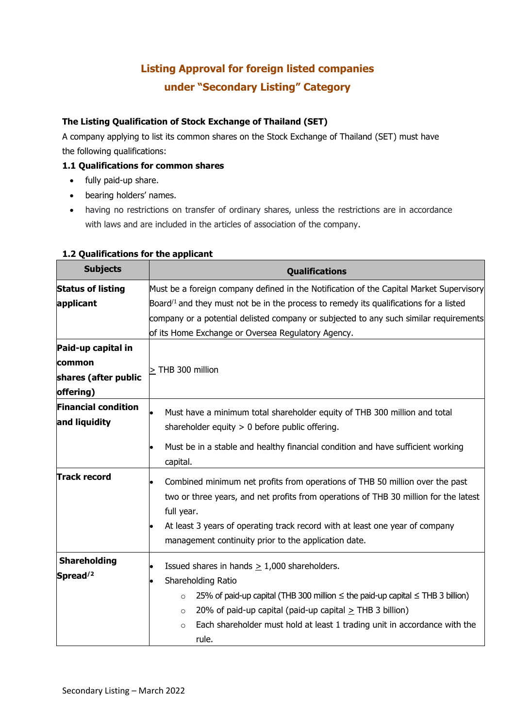## **Listing Approval for foreign listed companies under "Secondary Listing" Category**

### **The Listing Qualification of Stock Exchange of Thailand (SET)**

A company applying to list its common shares on the Stock Exchange of Thailand (SET) must have the following qualifications:

### **1.1 Qualifications for common shares**

- fully paid-up share.
- bearing holders' names.
- having no restrictions on transfer of ordinary shares, unless the restrictions are in accordance with laws and are included in the articles of association of the company.

| <b>Subjects</b>            | <b>Qualifications</b>                                                                             |
|----------------------------|---------------------------------------------------------------------------------------------------|
| <b>Status of listing</b>   | Must be a foreign company defined in the Notification of the Capital Market Supervisory           |
| applicant                  | Board <sup>/1</sup> and they must not be in the process to remedy its qualifications for a listed |
|                            | company or a potential delisted company or subjected to any such similar requirements             |
|                            | of its Home Exchange or Oversea Regulatory Agency.                                                |
| Paid-up capital in         |                                                                                                   |
| common                     |                                                                                                   |
| shares (after public       | > THB 300 million                                                                                 |
| offering)                  |                                                                                                   |
| <b>Financial condition</b> | Must have a minimum total shareholder equity of THB 300 million and total                         |
| and liquidity              | shareholder equity $> 0$ before public offering.                                                  |
|                            |                                                                                                   |
|                            | Must be in a stable and healthy financial condition and have sufficient working<br>capital.       |
| <b>Track record</b>        |                                                                                                   |
|                            | Combined minimum net profits from operations of THB 50 million over the past                      |
|                            | two or three years, and net profits from operations of THB 30 million for the latest              |
|                            | full year.                                                                                        |
|                            | At least 3 years of operating track record with at least one year of company                      |
|                            | management continuity prior to the application date.                                              |
| <b>Shareholding</b>        | Issued shares in hands $\geq$ 1,000 shareholders.                                                 |
| Spread $/2$                | Shareholding Ratio                                                                                |
|                            | 25% of paid-up capital (THB 300 million $\leq$ the paid-up capital $\leq$ THB 3 billion)          |
|                            | $\circ$                                                                                           |
|                            | 20% of paid-up capital (paid-up capital $\geq$ THB 3 billion)<br>$\circ$                          |
|                            | Each shareholder must hold at least 1 trading unit in accordance with the<br>$\circ$              |
|                            | rule.                                                                                             |

#### **1.2 Qualifications for the applicant**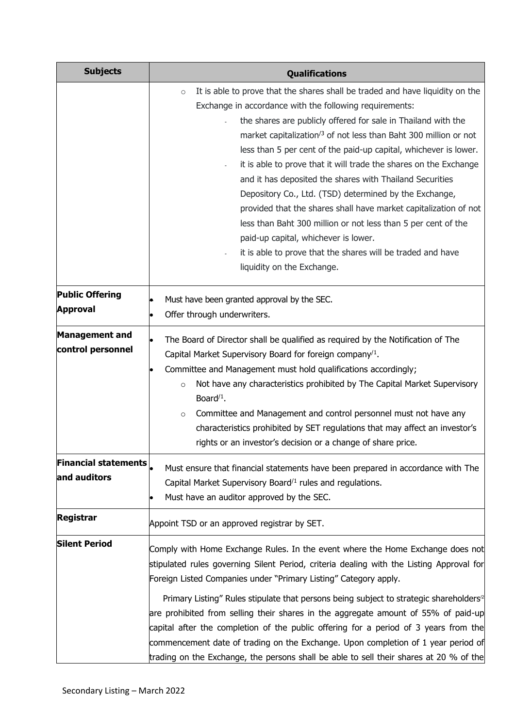| <b>Subjects</b>                             | <b>Qualifications</b>                                                                                                                                                                                                                                                                                                                                                                                                                                                                                                                                                                                                                                                                                                                                                                                                                         |
|---------------------------------------------|-----------------------------------------------------------------------------------------------------------------------------------------------------------------------------------------------------------------------------------------------------------------------------------------------------------------------------------------------------------------------------------------------------------------------------------------------------------------------------------------------------------------------------------------------------------------------------------------------------------------------------------------------------------------------------------------------------------------------------------------------------------------------------------------------------------------------------------------------|
|                                             | It is able to prove that the shares shall be traded and have liquidity on the<br>$\circ$<br>Exchange in accordance with the following requirements:<br>the shares are publicly offered for sale in Thailand with the<br>market capitalization <sup>/3</sup> of not less than Baht 300 million or not<br>less than 5 per cent of the paid-up capital, whichever is lower.<br>it is able to prove that it will trade the shares on the Exchange<br>and it has deposited the shares with Thailand Securities<br>Depository Co., Ltd. (TSD) determined by the Exchange,<br>provided that the shares shall have market capitalization of not<br>less than Baht 300 million or not less than 5 per cent of the<br>paid-up capital, whichever is lower.<br>it is able to prove that the shares will be traded and have<br>liquidity on the Exchange. |
| <b>Public Offering</b><br><b>Approval</b>   | Must have been granted approval by the SEC.<br>Offer through underwriters.                                                                                                                                                                                                                                                                                                                                                                                                                                                                                                                                                                                                                                                                                                                                                                    |
| <b>Management and</b><br>control personnel  | The Board of Director shall be qualified as required by the Notification of The<br>Capital Market Supervisory Board for foreign company <sup>/1</sup> .<br>Committee and Management must hold qualifications accordingly;<br>$\bullet$<br>Not have any characteristics prohibited by The Capital Market Supervisory<br>$\circ$<br>Board $/1$ .<br>Committee and Management and control personnel must not have any<br>$\circ$<br>characteristics prohibited by SET regulations that may affect an investor's<br>rights or an investor's decision or a change of share price.                                                                                                                                                                                                                                                                  |
| <b>Financial statements</b><br>and auditors | Must ensure that financial statements have been prepared in accordance with The<br>Capital Market Supervisory Board/1 rules and regulations.<br>Must have an auditor approved by the SEC.                                                                                                                                                                                                                                                                                                                                                                                                                                                                                                                                                                                                                                                     |
| <b>Registrar</b>                            | Appoint TSD or an approved registrar by SET.                                                                                                                                                                                                                                                                                                                                                                                                                                                                                                                                                                                                                                                                                                                                                                                                  |
| <b>Silent Period</b>                        | Comply with Home Exchange Rules. In the event where the Home Exchange does not<br>stipulated rules governing Silent Period, criteria dealing with the Listing Approval for<br>Foreign Listed Companies under "Primary Listing" Category apply.<br>Primary Listing" Rules stipulate that persons being subject to strategic shareholders <sup>2</sup><br>are prohibited from selling their shares in the aggregate amount of 55% of paid-up<br>capital after the completion of the public offering for a period of 3 years from the<br>commencement date of trading on the Exchange. Upon completion of 1 year period of<br>trading on the Exchange, the persons shall be able to sell their shares at 20 % of the                                                                                                                             |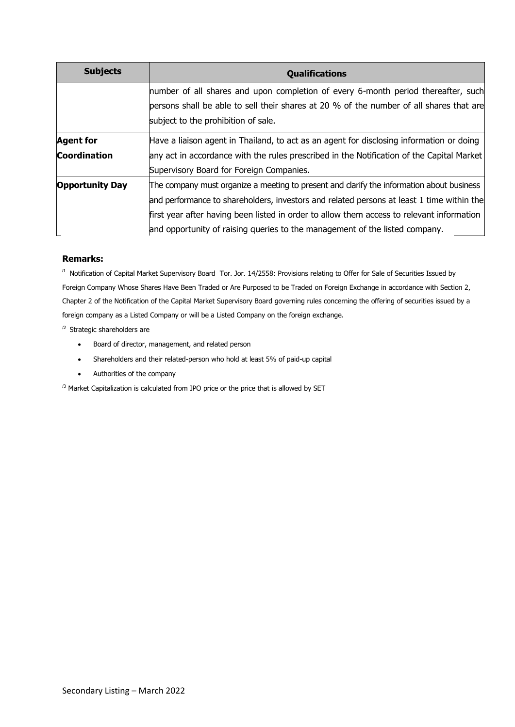| <b>Subjects</b>        | <b>Qualifications</b>                                                                     |
|------------------------|-------------------------------------------------------------------------------------------|
|                        | number of all shares and upon completion of every 6-month period thereafter, such         |
|                        | persons shall be able to sell their shares at 20 % of the number of all shares that are   |
|                        | subject to the prohibition of sale.                                                       |
| <b>Agent for</b>       | Have a liaison agent in Thailand, to act as an agent for disclosing information or doing  |
| <b>Coordination</b>    | any act in accordance with the rules prescribed in the Notification of the Capital Market |
|                        | Supervisory Board for Foreign Companies.                                                  |
| <b>Opportunity Day</b> | The company must organize a meeting to present and clarify the information about business |
|                        | and performance to shareholders, investors and related persons at least 1 time within the |
|                        | first year after having been listed in order to allow them access to relevant information |
|                        | and opportunity of raising queries to the management of the listed company.               |

#### **Remarks:**

**/1** [N](https://www.set.or.th/dat/content/rule/en/BorJorRor01-03_ENG.pdf)otification of Capital Market Supervisory Board Tor. Jor. 14/2558: Provisions relating to Offer for Sale of Securities Issued by Foreign Company Whose Shares Have Been Traded or Are Purposed to be Traded on Foreign Exchange in accordance with Section 2, Chapter 2 of the Notification of the Capital Market Supervisory Board governing rules concerning the offering of securities issued by a foreign company as a Listed Company or will be a Listed Company on the foreign exchange.

/2 Strategic shareholders are

- Board of director, management, and related person
- Shareholders and their related-person who hold at least 5% of paid-up capital
- Authorities of the company

 $^{/3}$  Market Capitalization is calculated from IPO price or the price that is allowed by SET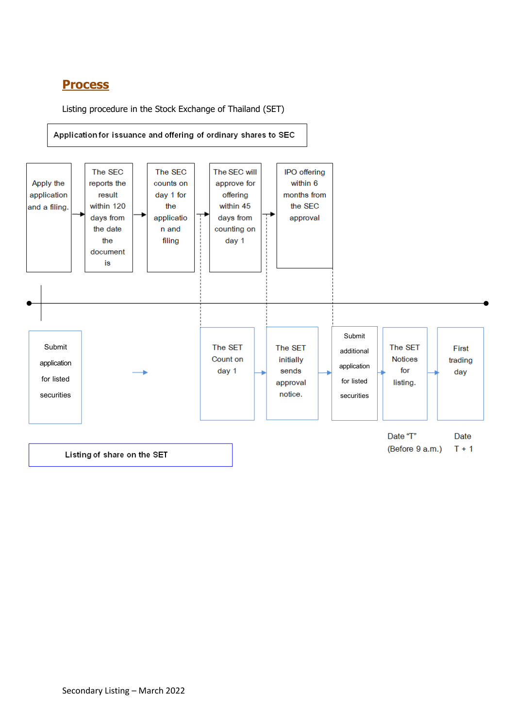## **Process**

Listing procedure in the Stock Exchange of Thailand (SET)